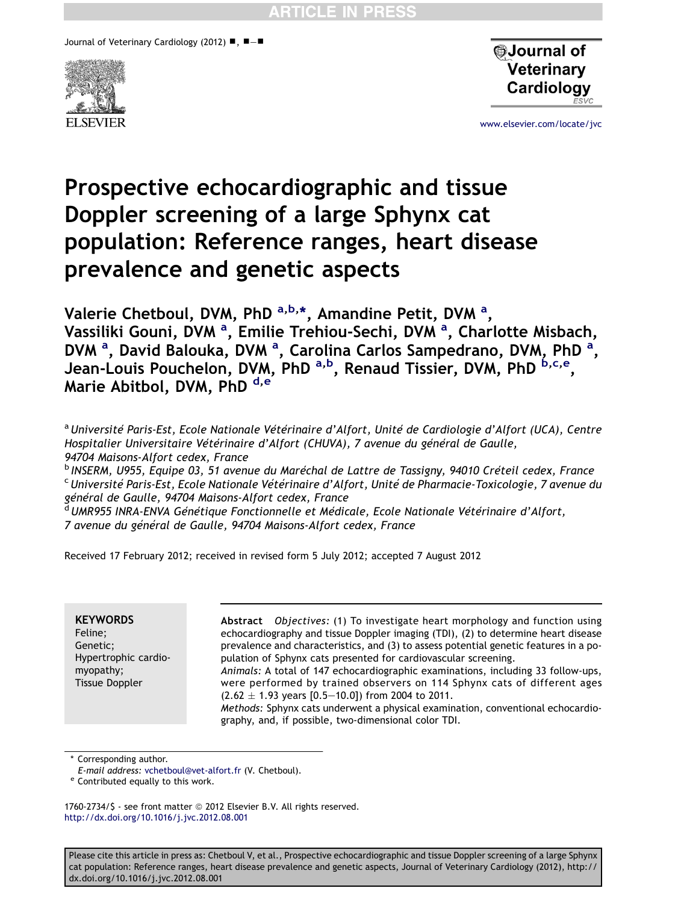Journal of Veterinary Cardiology (2012)  $\blacksquare$ ,  $\blacksquare - \blacksquare$ 





[www.elsevier.com/locate/jvc](http://www.elsevier.com/locate/jvc)

# Prospective echocardiographic and tissue Doppler screening of a large Sphynx cat population: Reference ranges, heart disease prevalence and genetic aspects

Valerie Chetboul, DVM, PhD <sup>a,b,</sup>\*, Amandine Petit, DVM <sup>a</sup>, Vassiliki Gouni, DVM <sup>a</sup>, Emilie Trehiou-Sechi, DVM <sup>a</sup>, Charlotte Misbach, DVM <sup>a</sup>, David Balouka, DVM <sup>a</sup>, Carolina Carlos Sampedrano, DVM, PhD <sup>a</sup>, Jean-Louis Pouchelon, DVM, PhD <sup>a,b</sup>, Renaud Tissier, DVM, PhD <sup>b,c,e</sup>, Marie Abitbol, DVM, PhD d,e

a Université Paris-Est, Ecole Nationale Vétérinaire d'Alfort, Unité de Cardiologie d'Alfort (UCA), Centre Hospitalier Universitaire Vétérinaire d'Alfort (CHUVA), 7 avenue du général de Gaulle, 94704 Maisons-Alfort cedex, France

<sup>b</sup> INSERM, U955, Equipe 03, 51 avenue du Maréchal de Lattre de Tassigny, 94010 Créteil cedex, France<br><sup>c</sup>Université Paris-Est, Ecole Nationale Vétérinaire d'Alfort, Unité de Pharmacie-Toxicologie, 7 avenue du général de Gaulle, 94704 Maisons-Alfort cedex, France

<sup>d</sup>UMR955 INRA-ENVA Génétique Fonctionnelle et Médicale, Ecole Nationale Vétérinaire d'Alfort, 7 avenue du général de Gaulle, 94704 Maisons-Alfort cedex, France

Received 17 February 2012; received in revised form 5 July 2012; accepted 7 August 2012

#### **KEYWORDS** Feline; Genetic; Hypertrophic cardiomyopathy; Tissue Doppler

Abstract Objectives: (1) To investigate heart morphology and function using echocardiography and tissue Doppler imaging (TDI), (2) to determine heart disease prevalence and characteristics, and (3) to assess potential genetic features in a population of Sphynx cats presented for cardiovascular screening. Animals: A total of 147 echocardiographic examinations, including 33 follow-ups,

were performed by trained observers on 114 Sphynx cats of different ages  $(2.62 \pm 1.93 \text{ years } [0.5-10.0])$  from 2004 to 2011.

Methods: Sphynx cats underwent a physical examination, conventional echocardiography, and, if possible, two-dimensional color TDI.

\* Corresponding author.

E-mail address: [vchetboul@vet-alfort.fr](mailto:vchetboul@vet-alfort.fr) (V. Chetboul).<br><sup>e</sup> Contributed equally to this work.

1760-2734/\$ - see front matter @ 2012 Elsevier B.V. All rights reserved. <http://dx.doi.org/10.1016/j.jvc.2012.08.001>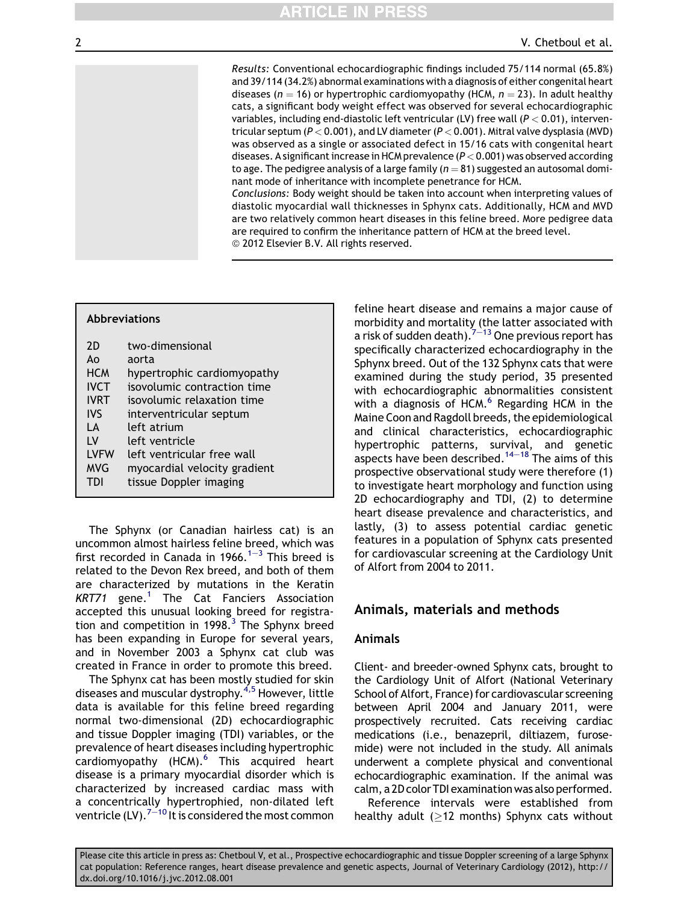Results: Conventional echocardiographic findings included 75/114 normal (65.8%) and 39/114 (34.2%) abnormal examinations with a diagnosis of either congenital heart diseases ( $n = 16$ ) or hypertrophic cardiomyopathy (HCM,  $n = 23$ ). In adult healthy cats, a significant body weight effect was observed for several echocardiographic variables, including end-diastolic left ventricular (LV) free wall  $(P < 0.01)$ , interventricular septum ( $P < 0.001$ ), and LV diameter ( $P < 0.001$ ). Mitral valve dysplasia (MVD) was observed as a single or associated defect in 15/16 cats with congenital heart diseases. A significant increase in HCM prevalence  $(P < 0.001)$  was observed according to age. The pedigree analysis of a large family ( $n = 81$ ) suggested an autosomal dominant mode of inheritance with incomplete penetrance for HCM.

Conclusions: Body weight should be taken into account when interpreting values of diastolic myocardial wall thicknesses in Sphynx cats. Additionally, HCM and MVD are two relatively common heart diseases in this feline breed. More pedigree data are required to confirm the inheritance pattern of HCM at the breed level. © 2012 Elsevier B.V. All rights reserved.

#### Abbreviations

| 2D          | two-dimensional              |
|-------------|------------------------------|
| Aο          | aorta                        |
| <b>HCM</b>  | hypertrophic cardiomyopathy  |
| <b>IVCT</b> | isovolumic contraction time  |
| <b>IVRT</b> | isovolumic relaxation time   |
| <b>IVS</b>  | interventricular septum      |
| IΑ          | left atrium                  |
| ١V          | left ventricle               |
| <b>LVFW</b> | left ventricular free wall   |
| <b>MVG</b>  | myocardial velocity gradient |
| TDI         | tissue Doppler imaging       |

The Sphynx (or Canadian hairless cat) is an uncommon almost hairless feline breed, which was first recorded in Canada in [1](#page-11-0)966.<sup>1-[3](#page-11-0)</sup> This breed is related to the Devon Rex breed, and both of them are characterized by mutations in the Keratin  $KRT71$  $KRT71$  gene.<sup>1</sup> The Cat Fanciers Association accepted this unusual looking breed for registration and competition in 1998. $3$  The Sphynx breed has been expanding in Europe for several years, and in November 2003 a Sphynx cat club was created in France in order to promote this breed.

The Sphynx cat has been mostly studied for skin diseases and muscular dystrophy.<sup>[4,5](#page-11-0)</sup> However, little data is available for this feline breed regarding normal two-dimensional (2D) echocardiographic and tissue Doppler imaging (TDI) variables, or the prevalence of heart diseases including hypertrophic cardiomyopathy  $(HCM).<sup>6</sup>$  $(HCM).<sup>6</sup>$  $(HCM).<sup>6</sup>$  This acquired heart disease is a primary myocardial disorder which is characterized by increased cardiac mass with a concentrically hypertrophied, non-dilated left ventricle (LV).<sup>[7](#page-11-0)-[10](#page-11-0)</sup> It is considered the most common

feline heart disease and remains a major cause of morbidity and mortality (the latter associated with a risk of sudden death).<sup>[7](#page-11-0)–[13](#page-11-0)</sup> One previous report has specifically characterized echocardiography in the Sphynx breed. Out of the 132 Sphynx cats that were examined during the study period, 35 presented with echocardiographic abnormalities consistent with a diagnosis of HCM. $<sup>6</sup>$  $<sup>6</sup>$  $<sup>6</sup>$  Regarding HCM in the</sup> Maine Coon and Ragdoll breeds, the epidemiological and clinical characteristics, echocardiographic hypertrophic patterns, survival, and genetic aspects have been described.<sup>[14](#page-11-0)-[18](#page-11-0)</sup> The aims of this prospective observational study were therefore (1) to investigate heart morphology and function using 2D echocardiography and TDI, (2) to determine heart disease prevalence and characteristics, and lastly, (3) to assess potential cardiac genetic features in a population of Sphynx cats presented for cardiovascular screening at the Cardiology Unit of Alfort from 2004 to 2011.

# Animals, materials and methods

#### Animals

Client- and breeder-owned Sphynx cats, brought to the Cardiology Unit of Alfort (National Veterinary School of Alfort, France) for cardiovascular screening between April 2004 and January 2011, were prospectively recruited. Cats receiving cardiac medications (i.e., benazepril, diltiazem, furosemide) were not included in the study. All animals underwent a complete physical and conventional echocardiographic examination. If the animal was calm, a 2D color TDI examination was also performed.

Reference intervals were established from healthy adult ( $\geq$ 12 months) Sphynx cats without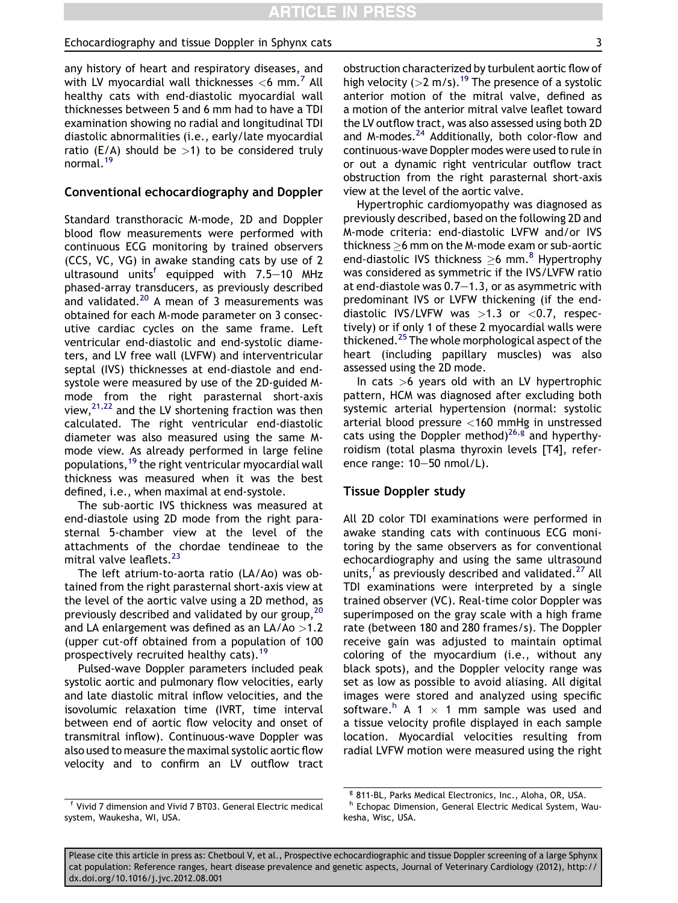any history of heart and respiratory diseases, and with LV myocardial wall thicknesses  $<$  6 mm.<sup>[7](#page-11-0)</sup> All healthy cats with end-diastolic myocardial wall thicknesses between 5 and 6 mm had to have a TDI examination showing no radial and longitudinal TDI diastolic abnormalities (i.e., early/late myocardial ratio (E/A) should be  $>1$ ) to be considered truly normal.[19](#page-11-0)

#### Conventional echocardiography and Doppler

Standard transthoracic M-mode, 2D and Doppler blood flow measurements were performed with continuous ECG monitoring by trained observers (CCS, VC, VG) in awake standing cats by use of 2 ultrasound units<sup>f</sup> equipped with  $7.5-10$  MHz phased-array transducers, as previously described and validated. $20$  A mean of 3 measurements was obtained for each M-mode parameter on 3 consecutive cardiac cycles on the same frame. Left ventricular end-diastolic and end-systolic diameters, and LV free wall (LVFW) and interventricular septal (IVS) thicknesses at end-diastole and endsystole were measured by use of the 2D-guided Mmode from the right parasternal short-axis view, $2^{1,22}$  and the LV shortening fraction was then calculated. The right ventricular end-diastolic diameter was also measured using the same Mmode view. As already performed in large feline populations,[19](#page-11-0) the right ventricular myocardial wall thickness was measured when it was the best defined, i.e., when maximal at end-systole.

The sub-aortic IVS thickness was measured at end-diastole using 2D mode from the right parasternal 5-chamber view at the level of the attachments of the chordae tendineae to the mitral valve leaflets.<sup>[23](#page-11-0)</sup>

The left atrium-to-aorta ratio (LA/Ao) was obtained from the right parasternal short-axis view at the level of the aortic valve using a 2D method, as previously described and validated by our group,<sup>[20](#page-11-0)</sup> and LA enlargement was defined as an LA/Ao >1.2 (upper cut-off obtained from a population of 100 prospectively recruited healthy cats).<sup>[19](#page-11-0)</sup>

Pulsed-wave Doppler parameters included peak systolic aortic and pulmonary flow velocities, early and late diastolic mitral inflow velocities, and the isovolumic relaxation time (IVRT, time interval between end of aortic flow velocity and onset of transmitral inflow). Continuous-wave Doppler was also used to measure the maximal systolic aortic flow velocity and to confirm an LV outflow tract a motion of the anterior mitral valve leaflet toward the LV outflow tract, was also assessed using both 2D and M-modes. $^{24}$  Additionally, both color-flow and continuous-wave Doppler modes were used to rule in or out a dynamic right ventricular outflow tract obstruction from the right parasternal short-axis view at the level of the aortic valve.

Hypertrophic cardiomyopathy was diagnosed as previously described, based on the following 2D and M-mode criteria: end-diastolic LVFW and/or IVS thickness  $>$ 6 mm on the M-mode exam or sub-aortic end-diastolic IVS thickness  $>6$  mm.<sup>[8](#page-11-0)</sup> Hypertrophy was considered as symmetric if the IVS/LVFW ratio at end-diastole was  $0.7-1.3$ , or as asymmetric with predominant IVS or LVFW thickening (if the enddiastolic IVS/LVFW was  $>1.3$  or  $<$  0.7, respectively) or if only 1 of these 2 myocardial walls were thickened.<sup>[25](#page-11-0)</sup> The whole morphological aspect of the heart (including papillary muscles) was also assessed using the 2D mode.

In cats  $>6$  years old with an LV hypertrophic pattern, HCM was diagnosed after excluding both systemic arterial hypertension (normal: systolic arterial blood pressure <160 mmHg in unstressed cats using the Doppler method)<sup>[26,](#page-12-0)g</sup> and hyperthyroidism (total plasma thyroxin levels [T4], reference range:  $10-50$  nmol/L).

#### Tissue Doppler study

All 2D color TDI examinations were performed in awake standing cats with continuous ECG monitoring by the same observers as for conventional echocardiography and using the same ultrasound units,<sup>f</sup> as previously described and validated.<sup>[27](#page-12-0)</sup> All TDI examinations were interpreted by a single trained observer (VC). Real-time color Doppler was superimposed on the gray scale with a high frame rate (between 180 and 280 frames/s). The Doppler receive gain was adjusted to maintain optimal coloring of the myocardium (i.e., without any black spots), and the Doppler velocity range was set as low as possible to avoid aliasing. All digital images were stored and analyzed using specific software.<sup>h</sup> A 1  $\times$  1 mm sample was used and a tissue velocity profile displayed in each sample location. Myocardial velocities resulting from radial LVFW motion were measured using the right

<sup>f</sup> Vivid 7 dimension and Vivid 7 BT03. General Electric medical system, Waukesha, WI, USA.

<sup>g</sup> 811-BL, Parks Medical Electronics, Inc., Aloha, OR, USA.

h Echopac Dimension, General Electric Medical System, Waukesha, Wisc, USA.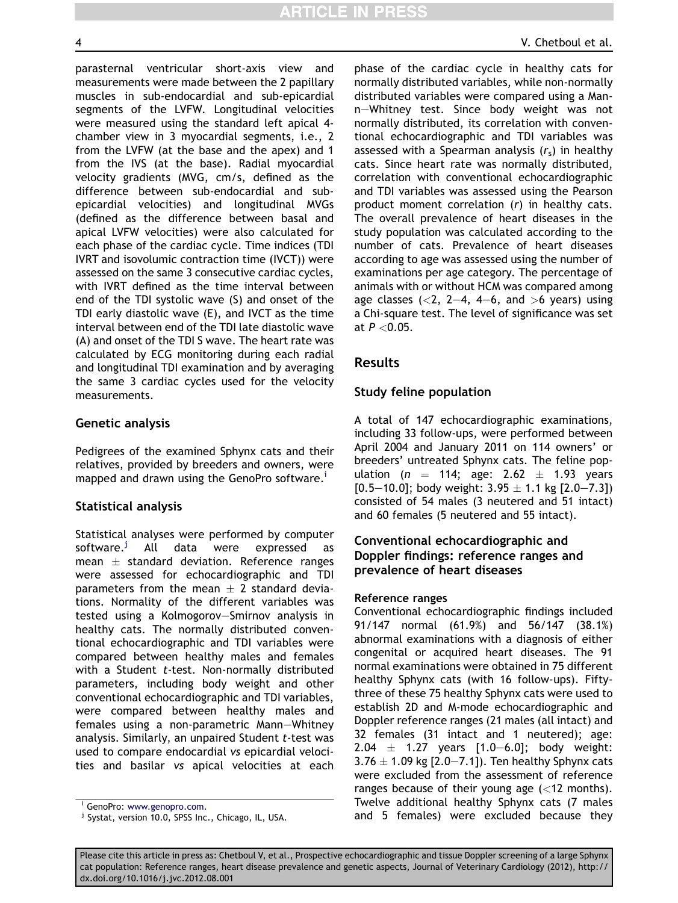parasternal ventricular short-axis view and measurements were made between the 2 papillary muscles in sub-endocardial and sub-epicardial segments of the LVFW. Longitudinal velocities were measured using the standard left apical 4 chamber view in 3 myocardial segments, i.e., 2 from the LVFW (at the base and the apex) and 1 from the IVS (at the base). Radial myocardial velocity gradients (MVG, cm/s, defined as the difference between sub-endocardial and subepicardial velocities) and longitudinal MVGs (defined as the difference between basal and apical LVFW velocities) were also calculated for each phase of the cardiac cycle. Time indices (TDI IVRT and isovolumic contraction time (IVCT)) were assessed on the same 3 consecutive cardiac cycles, with IVRT defined as the time interval between end of the TDI systolic wave (S) and onset of the TDI early diastolic wave (E), and IVCT as the time interval between end of the TDI late diastolic wave (A) and onset of the TDI S wave. The heart rate was calculated by ECG monitoring during each radial and longitudinal TDI examination and by averaging the same 3 cardiac cycles used for the velocity measurements.

#### Genetic analysis

Pedigrees of the examined Sphynx cats and their relatives, provided by breeders and owners, were mapped and drawn using the GenoPro software.<sup>1</sup>

#### Statistical analysis

Statistical analyses were performed by computer software.<sup>J</sup> All data were expressed as mean  $\pm$  standard deviation. Reference ranges were assessed for echocardiographic and TDI parameters from the mean  $\pm$  2 standard deviations. Normality of the different variables was tested using a Kolmogorov-Smirnov analysis in healthy cats. The normally distributed conventional echocardiographic and TDI variables were compared between healthy males and females with a Student  $t$ -test. Non-normally distributed parameters, including body weight and other conventional echocardiographic and TDI variables, were compared between healthy males and females using a non-parametric Mann-Whitney analysis. Similarly, an unpaired Student t-test was used to compare endocardial vs epicardial velocities and basilar vs apical velocities at each phase of the cardiac cycle in healthy cats for normally distributed variables, while non-normally distributed variables were compared using a Mann-Whitney test. Since body weight was not normally distributed, its correlation with conventional echocardiographic and TDI variables was assessed with a Spearman analysis  $(r<sub>s</sub>)$  in healthy cats. Since heart rate was normally distributed, correlation with conventional echocardiographic and TDI variables was assessed using the Pearson product moment correlation (r) in healthy cats. The overall prevalence of heart diseases in the study population was calculated according to the number of cats. Prevalence of heart diseases according to age was assessed using the number of examinations per age category. The percentage of animals with or without HCM was compared among age classes  $(<2, 2-4, 4-6,$  and  $>6$  years) using a Chi-square test. The level of significance was set at  $P < 0.05$ .

## Results

#### Study feline population

A total of 147 echocardiographic examinations, including 33 follow-ups, were performed between April 2004 and January 2011 on 114 owners' or breeders' untreated Sphynx cats. The feline population ( $n = 114$ ; age: 2.62  $\pm$  1.93 years  $[0.5-10.0]$ ; body weight: 3.95  $\pm$  1.1 kg  $[2.0-7.3]$ ) consisted of 54 males (3 neutered and 51 intact) and 60 females (5 neutered and 55 intact).

# Conventional echocardiographic and Doppler findings: reference ranges and prevalence of heart diseases

#### Reference ranges

Conventional echocardiographic findings included 91/147 normal (61.9%) and 56/147 (38.1%) abnormal examinations with a diagnosis of either congenital or acquired heart diseases. The 91 normal examinations were obtained in 75 different healthy Sphynx cats (with 16 follow-ups). Fiftythree of these 75 healthy Sphynx cats were used to establish 2D and M-mode echocardiographic and Doppler reference ranges (21 males (all intact) and 32 females (31 intact and 1 neutered); age: 2.04  $\pm$  1.27 years [1.0–6.0]; body weight:  $3.76 \pm 1.09$  kg [2.0–7.1]). Ten healthy Sphynx cats were excluded from the assessment of reference ranges because of their young age  $\left($  < 12 months). Twelve additional healthy Sphynx cats (7 males and 5 females) were excluded because they

<sup>&</sup>lt;sup>i</sup> GenoPro: [www.genopro.com](http://www.genopro.com).<br><sup>j</sup> Systat, version 10.0, SPSS Inc., Chicago, IL, USA.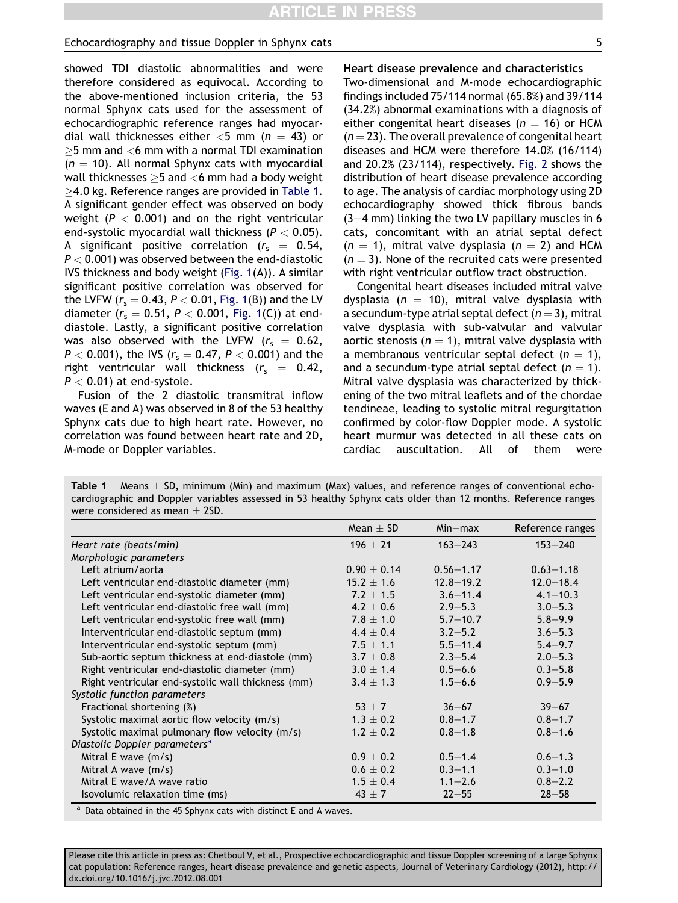showed TDI diastolic abnormalities and were therefore considered as equivocal. According to the above-mentioned inclusion criteria, the 53 normal Sphynx cats used for the assessment of echocardiographic reference ranges had myocardial wall thicknesses either  $<$ 5 mm (n = 43) or  $>$ 5 mm and  $<$ 6 mm with a normal TDI examination  $(n = 10)$ . All normal Sphynx cats with myocardial wall thicknesses  $\geq$ 5 and <6 mm had a body weight  $\geq$ 4.0 kg. Reference ranges are provided in Table 1. A significant gender effect was observed on body weight ( $P < 0.001$ ) and on the right ventricular end-systolic myocardial wall thickness ( $P < 0.05$ ). A significant positive correlation ( $r_s = 0.54$ ,  $P < 0.001$ ) was observed between the end-diastolic IVS thickness and body weight [\(Fig. 1\(](#page-5-0)A)). A similar significant positive correlation was observed for the LVFW ( $r_s = 0.43$ ,  $P < 0.01$ , [Fig. 1\(](#page-5-0)B)) and the LV diameter ( $r_s = 0.51$ ,  $P < 0.001$ , [Fig. 1](#page-5-0)(C)) at enddiastole. Lastly, a significant positive correlation was also observed with the LVFW ( $r_s = 0.62$ ,  $P < 0.001$ ), the IVS ( $r_s = 0.47$ ,  $P < 0.001$ ) and the right ventricular wall thickness  $(r_s = 0.42,$  $P < 0.01$ ) at end-systole.

Fusion of the 2 diastolic transmitral inflow waves (E and A) was observed in 8 of the 53 healthy Sphynx cats due to high heart rate. However, no correlation was found between heart rate and 2D, M-mode or Doppler variables.

Heart disease prevalence and characteristics

Two-dimensional and M-mode echocardiographic findings included 75/114 normal (65.8%) and 39/114 (34.2%) abnormal examinations with a diagnosis of either congenital heart diseases ( $n = 16$ ) or HCM  $(n = 23)$ . The overall prevalence of congenital heart diseases and HCM were therefore 14.0% (16/114) and 20.2% (23/114), respectively. [Fig. 2](#page-5-0) shows the distribution of heart disease prevalence according to age. The analysis of cardiac morphology using 2D echocardiography showed thick fibrous bands  $(3-4$  mm) linking the two LV papillary muscles in 6 cats, concomitant with an atrial septal defect  $(n = 1)$ , mitral valve dysplasia  $(n = 2)$  and HCM  $(n = 3)$ . None of the recruited cats were presented with right ventricular outflow tract obstruction.

Congenital heart diseases included mitral valve dysplasia ( $n = 10$ ), mitral valve dysplasia with a secundum-type atrial septal defect  $(n = 3)$ , mitral valve dysplasia with sub-valvular and valvular aortic stenosis ( $n = 1$ ), mitral valve dysplasia with a membranous ventricular septal defect  $(n = 1)$ , and a secundum-type atrial septal defect  $(n = 1)$ . Mitral valve dysplasia was characterized by thickening of the two mitral leaflets and of the chordae tendineae, leading to systolic mitral regurgitation confirmed by color-flow Doppler mode. A systolic heart murmur was detected in all these cats on cardiac auscultation. All of them were

| Table 1 | Means $\pm$ SD, minimum (Min) and maximum (Max) values, and reference ranges of conventional echo-            |  |  |  |
|---------|---------------------------------------------------------------------------------------------------------------|--|--|--|
|         | cardiographic and Doppler variables assessed in 53 healthy Sphynx cats older than 12 months. Reference ranges |  |  |  |
|         | were considered as mean $\pm$ 2SD.                                                                            |  |  |  |

|                                                    | Mean $\pm$ SD | $Min-max$     | Reference ranges |
|----------------------------------------------------|---------------|---------------|------------------|
| Heart rate (beats/min)                             | $196 + 21$    | $163 - 243$   | $153 - 240$      |
| Morphologic parameters                             |               |               |                  |
| Left atrium/aorta                                  | $0.90 + 0.14$ | $0.56 - 1.17$ | $0.63 - 1.18$    |
| Left ventricular end-diastolic diameter (mm)       | $15.2 + 1.6$  | $12.8 - 19.2$ | $12.0 - 18.4$    |
| Left ventricular end-systolic diameter (mm)        | $7.2 + 1.5$   | $3.6 - 11.4$  | $4.1 - 10.3$     |
| Left ventricular end-diastolic free wall (mm)      | $4.2 \pm 0.6$ | $2.9 - 5.3$   | $3.0 - 5.3$      |
| Left ventricular end-systolic free wall (mm)       | $7.8 \pm 1.0$ | $5.7 - 10.7$  | $5.8 - 9.9$      |
| Interventricular end-diastolic septum (mm)         | $4.4 \pm 0.4$ | $3.2 - 5.2$   | $3.6 - 5.3$      |
| Interventricular end-systolic septum (mm)          | $7.5 + 1.1$   | $5.5 - 11.4$  | $5.4 - 9.7$      |
| Sub-aortic septum thickness at end-diastole (mm)   | $3.7 \pm 0.8$ | $2.3 - 5.4$   | $2.0 - 5.3$      |
| Right ventricular end-diastolic diameter (mm)      | $3.0 \pm 1.4$ | $0.5 - 6.6$   | $0.3 - 5.8$      |
| Right ventricular end-systolic wall thickness (mm) | $3.4 \pm 1.3$ | $1.5 - 6.6$   | $0.9 - 5.9$      |
| Systolic function parameters                       |               |               |                  |
| Fractional shortening (%)                          | $53 + 7$      | $36 - 67$     | $39 - 67$        |
| Systolic maximal aortic flow velocity (m/s)        | $1.3 \pm 0.2$ | $0.8 - 1.7$   | $0.8 - 1.7$      |
| Systolic maximal pulmonary flow velocity (m/s)     | $1.2 \pm 0.2$ | $0.8 - 1.8$   | $0.8 - 1.6$      |
| Diastolic Doppler parameters <sup>a</sup>          |               |               |                  |
| Mitral E wave $(m/s)$                              | $0.9 + 0.2$   | $0.5 - 1.4$   | $0.6 - 1.3$      |
| Mitral A wave (m/s)                                | $0.6 \pm 0.2$ | $0.3 - 1.1$   | $0.3 - 1.0$      |
| Mitral E wave/A wave ratio                         | $1.5 + 0.4$   | $1.1 - 2.6$   | $0.8 - 2.2$      |
| Isovolumic relaxation time (ms)                    | $43 \pm 7$    | $22 - 55$     | $28 - 58$        |

 $a$  Data obtained in the 45 Sphynx cats with distinct E and A waves.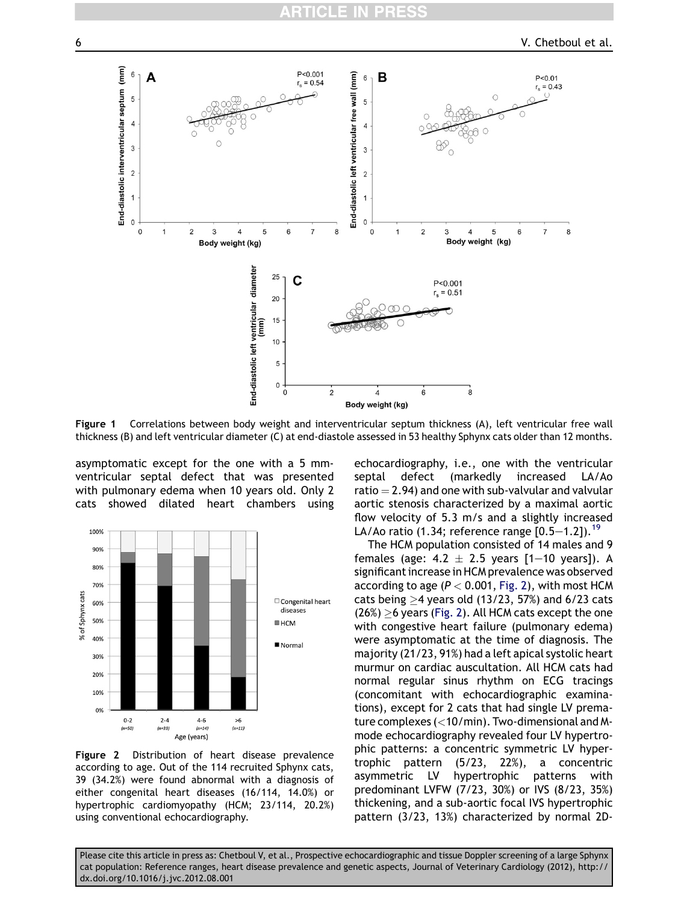<span id="page-5-0"></span>

Figure 1 Correlations between body weight and interventricular septum thickness (A), left ventricular free wall thickness (B) and left ventricular diameter (C) at end-diastole assessed in 53 healthy Sphynx cats older than 12 months.

asymptomatic except for the one with a 5 mmventricular septal defect that was presented with pulmonary edema when 10 years old. Only 2 cats showed dilated heart chambers using



Figure 2 Distribution of heart disease prevalence according to age. Out of the 114 recruited Sphynx cats, 39 (34.2%) were found abnormal with a diagnosis of either congenital heart diseases (16/114, 14.0%) or hypertrophic cardiomyopathy (HCM; 23/114, 20.2%) using conventional echocardiography.

echocardiography, i.e., one with the ventricular septal defect (markedly increased LA/Ao ratio  $=$  2.94) and one with sub-valvular and valvular aortic stenosis characterized by a maximal aortic flow velocity of 5.3 m/s and a slightly increased LA/Ao ratio (1.34; reference range  $[0.5-1.2]$ ).<sup>[19](#page-11-0)</sup>

The HCM population consisted of 14 males and 9 females (age:  $4.2 \pm 2.5$  years [1-10 years]). A significant increase in HCM prevalence was observed according to age ( $P < 0.001$ , Fig. 2), with most HCM cats being  $\geq$ 4 years old (13/23, 57%) and 6/23 cats  $(26%) \ge 6$  years (Fig. 2). All HCM cats except the one with congestive heart failure (pulmonary edema) were asymptomatic at the time of diagnosis. The majority (21/23, 91%) had a left apical systolic heart murmur on cardiac auscultation. All HCM cats had normal regular sinus rhythm on ECG tracings (concomitant with echocardiographic examinations), except for 2 cats that had single LV premature complexes (<10/min). Two-dimensional and Mmode echocardiography revealed four LV hypertrophic patterns: a concentric symmetric LV hypertrophic pattern (5/23, 22%), a concentric asymmetric LV hypertrophic patterns with predominant LVFW (7/23, 30%) or IVS (8/23, 35%) thickening, and a sub-aortic focal IVS hypertrophic pattern (3/23, 13%) characterized by normal 2D-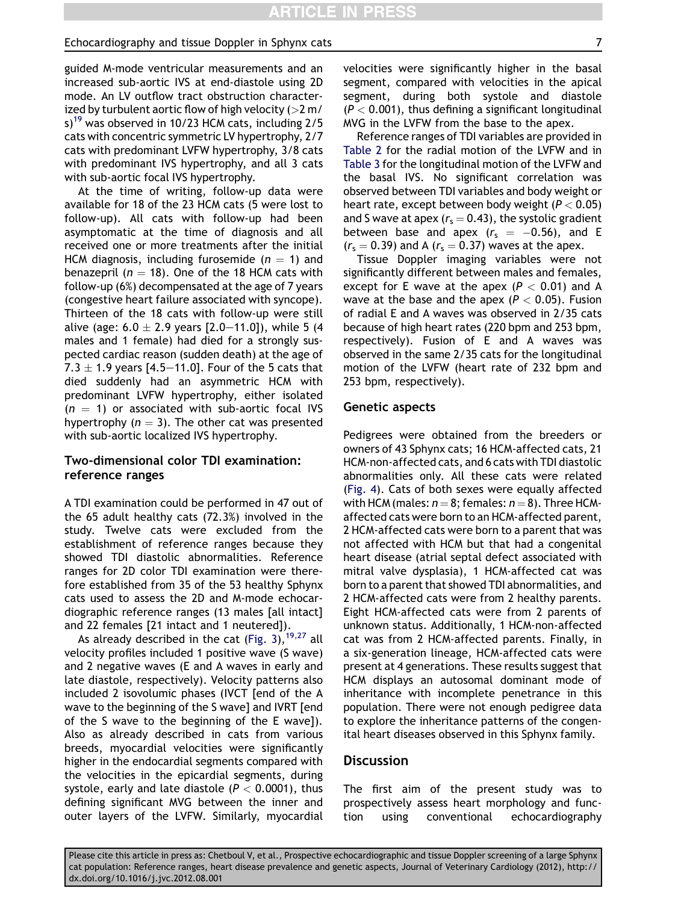guided M-mode ventricular measurements and an increased sub-aortic IVS at end-diastole using 2D mode. An LV outflow tract obstruction characterized by turbulent aortic flow of high velocity ( $>2$  m/ s)<sup>19</sup> was observed in 10/23 HCM cats, including  $2/5$ cats with concentric symmetric LV hypertrophy, 2/7 cats with predominant LVFW hypertrophy, 3/8 cats with predominant IVS hypertrophy, and all 3 cats with sub-aortic focal IVS hypertrophy.

At the time of writing, follow-up data were available for 18 of the 23 HCM cats (5 were lost to follow-up). All cats with follow-up had been asymptomatic at the time of diagnosis and all received one or more treatments after the initial HCM diagnosis, including furosemide ( $n = 1$ ) and benazepril ( $n = 18$ ). One of the 18 HCM cats with follow-up (6%) decompensated at the age of 7 years (congestive heart failure associated with syncope). Thirteen of the 18 cats with follow-up were still alive (age: 6.0  $\pm$  2.9 years [2.0–11.0]), while 5 (4 males and 1 female) had died for a strongly suspected cardiac reason (sudden death) at the age of 7.3  $\pm$  1.9 years [4.5–11.0]. Four of the 5 cats that died suddenly had an asymmetric HCM with predominant LVFW hypertrophy, either isolated  $(n = 1)$  or associated with sub-aortic focal IVS hypertrophy ( $n = 3$ ). The other cat was presented with sub-aortic localized IVS hypertrophy.

# Two-dimensional color TDI examination: reference ranges

A TDI examination could be performed in 47 out of the 65 adult healthy cats (72.3%) involved in the study. Twelve cats were excluded from the establishment of reference ranges because they showed TDI diastolic abnormalities. Reference ranges for 2D color TDI examination were therefore established from 35 of the 53 healthy Sphynx cats used to assess the 2D and M-mode echocardiographic reference ranges (13 males [all intact] and 22 females [21 intact and 1 neutered]).

As already described in the cat (Fig.  $3$ ),  $19.27$  all velocity profiles included 1 positive wave (S wave) and 2 negative waves (E and A waves in early and late diastole, respectively). Velocity patterns also included 2 isovolumic phases (IVCT [end of the A wave to the beginning of the S wave] and IVRT [end of the S wave to the beginning of the E wave]). Also as already described in cats from various breeds, myocardial velocities were significantly higher in the endocardial segments compared with the velocities in the epicardial segments, during systole, early and late diastole ( $P < 0.0001$ ), thus defining significant MVG between the inner and outer layers of the LVFW. Similarly, myocardial velocities were significantly higher in the basal segment, compared with velocities in the apical segment, during both systole and diastole  $(P < 0.001)$ , thus defining a significant longitudinal MVG in the LVFW from the base to the apex.

Reference ranges of TDI variables are provided in [Table 2](#page-7-0) for the radial motion of the LVFW and in [Table 3](#page-8-0) for the longitudinal motion of the LVFW and the basal IVS. No significant correlation was observed between TDI variables and body weight or heart rate, except between body weight ( $P < 0.05$ ) and S wave at apex ( $r_s = 0.43$ ), the systolic gradient between base and apex  $(r_s = -0.56)$ , and E  $(r_s = 0.39)$  and A  $(r_s = 0.37)$  waves at the apex.

Tissue Doppler imaging variables were not significantly different between males and females, except for E wave at the apex ( $P < 0.01$ ) and A wave at the base and the apex ( $P < 0.05$ ). Fusion of radial E and A waves was observed in 2/35 cats because of high heart rates (220 bpm and 253 bpm, respectively). Fusion of E and A waves was observed in the same 2/35 cats for the longitudinal motion of the LVFW (heart rate of 232 bpm and 253 bpm, respectively).

#### Genetic aspects

Pedigrees were obtained from the breeders or owners of 43 Sphynx cats; 16 HCM-affected cats, 21 HCM-non-affected cats, and 6 cats with TDI diastolic abnormalities only. All these cats were related [\(Fig. 4\)](#page-9-0). Cats of both sexes were equally affected with HCM (males:  $n = 8$ ; females:  $n = 8$ ). Three HCMaffected cats were born to an HCM-affected parent, 2 HCM-affected cats were born to a parent that was not affected with HCM but that had a congenital heart disease (atrial septal defect associated with mitral valve dysplasia), 1 HCM-affected cat was born to a parent that showed TDI abnormalities, and 2 HCM-affected cats were from 2 healthy parents. Eight HCM-affected cats were from 2 parents of unknown status. Additionally, 1 HCM-non-affected cat was from 2 HCM-affected parents. Finally, in a six-generation lineage, HCM-affected cats were present at 4 generations. These results suggest that HCM displays an autosomal dominant mode of inheritance with incomplete penetrance in this population. There were not enough pedigree data to explore the inheritance patterns of the congenital heart diseases observed in this Sphynx family.

#### **Discussion**

The first aim of the present study was to prospectively assess heart morphology and function using conventional echocardiography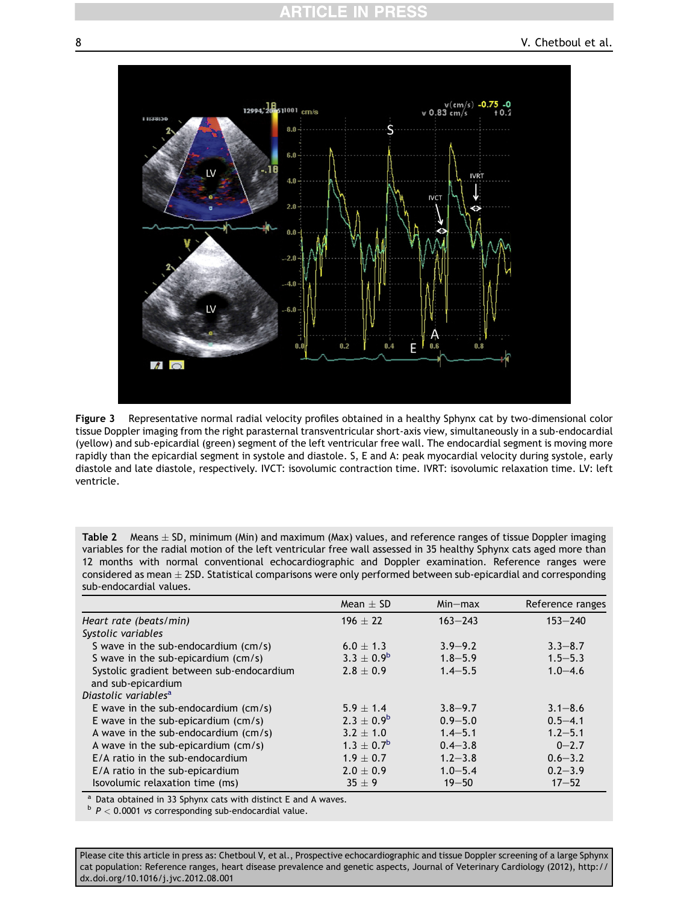<span id="page-7-0"></span>

Figure 3 Representative normal radial velocity profiles obtained in a healthy Sphynx cat by two-dimensional color tissue Doppler imaging from the right parasternal transventricular short-axis view, simultaneously in a sub-endocardial (yellow) and sub-epicardial (green) segment of the left ventricular free wall. The endocardial segment is moving more rapidly than the epicardial segment in systole and diastole. S, E and A: peak myocardial velocity during systole, early diastole and late diastole, respectively. IVCT: isovolumic contraction time. IVRT: isovolumic relaxation time. LV: left ventricle.

Table 2 Means  $\pm$  SD, minimum (Min) and maximum (Max) values, and reference ranges of tissue Doppler imaging variables for the radial motion of the left ventricular free wall assessed in 35 healthy Sphynx cats aged more than 12 months with normal conventional echocardiographic and Doppler examination. Reference ranges were considered as mean  $\pm$  2SD. Statistical comparisons were only performed between sub-epicardial and corresponding sub-endocardial values.

|                                           | $Mean + SD$       | $Min-max$     | Reference ranges |
|-------------------------------------------|-------------------|---------------|------------------|
| Heart rate (beats/min)                    | $196 + 22$        | $163 - 243$   | $153 - 240$      |
| Systolic variables                        |                   |               |                  |
| S wave in the sub-endocardium (cm/s)      | $6.0 \pm 1.3$     | $3.9 - 9.2$   | $3.3 - 8.7$      |
| S wave in the sub-epicardium (cm/s)       | $3.3 \pm 0.9^{b}$ | $1.8 - 5.9$   | $1.5 - 5.3$      |
| Systolic gradient between sub-endocardium | $2.8 \pm 0.9$     | $1.4 - 5.5$   | $1.0 - 4.6$      |
| and sub-epicardium                        |                   |               |                  |
| Diastolic variables <sup>a</sup>          |                   |               |                  |
| E wave in the sub-endocardium $(cm/s)$    | $5.9 + 1.4$       | $3.8 - 9.7$   | $3.1 - 8.6$      |
| E wave in the sub-epicardium $(cm/s)$     | $2.3 + 0.9^b$     | $0.9 - 5.0$   | $0.5 - 4.1$      |
| A wave in the sub-endocardium $(cm/s)$    | $3.2 + 1.0$       | $1.4 - 5.1$   | $1.2 - 5.1$      |
| A wave in the sub-epicardium $(cm/s)$     | $1.3 \pm 0.7^{b}$ | $0.4 - 3.8$   | $0 - 2.7$        |
| E/A ratio in the sub-endocardium          | $1.9 \pm 0.7$     | $1, 2 - 3, 8$ | $0.6 - 3.2$      |
| E/A ratio in the sub-epicardium           | $2.0 + 0.9$       | $1.0 - 5.4$   | $0.2 - 3.9$      |
| Isovolumic relaxation time (ms)           | $35 + 9$          | $19 - 50$     | $17 - 52$        |

<sup>a</sup> Data obtained in 33 Sphynx cats with distinct E and A waves.<br>
<sup>b</sup>  $P < 0.0001$  vs corresponding sub-endocardial value.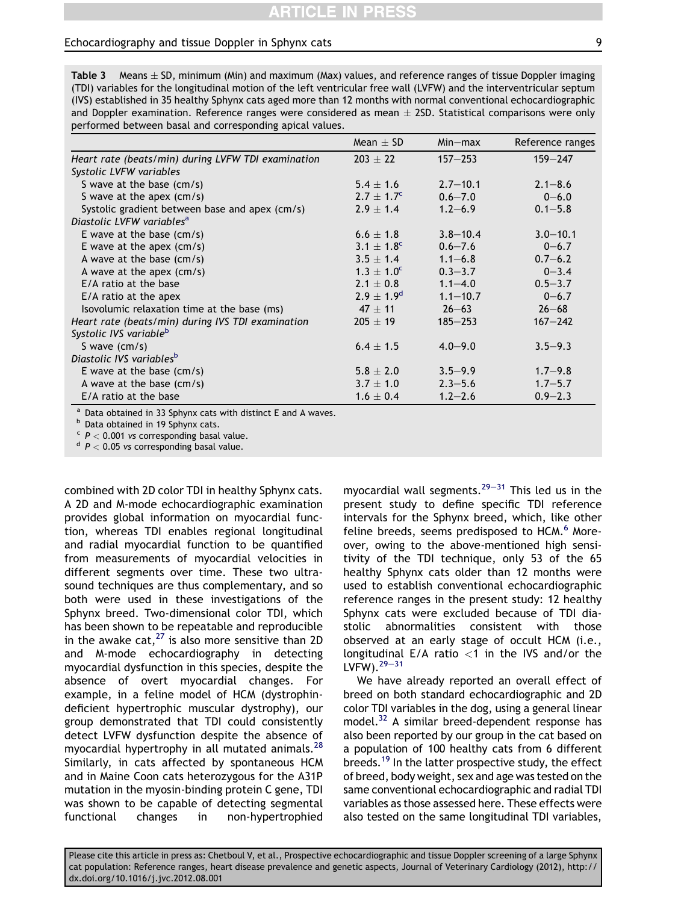# **TICLE IN PRE**

#### <span id="page-8-0"></span>Echocardiography and tissue Doppler in Sphynx cats 9

Table 3 Means  $\pm$  SD, minimum (Min) and maximum (Max) values, and reference ranges of tissue Doppler imaging (TDI) variables for the longitudinal motion of the left ventricular free wall (LVFW) and the interventricular septum (IVS) established in 35 healthy Sphynx cats aged more than 12 months with normal conventional echocardiographic and Doppler examination. Reference ranges were considered as mean  $\pm$  2SD. Statistical comparisons were only performed between basal and corresponding apical values.

|                                                    | $Mean + SD$           | $Min-max$    | Reference ranges |
|----------------------------------------------------|-----------------------|--------------|------------------|
| Heart rate (beats/min) during LVFW TDI examination | $203 \pm 22$          | $157 - 253$  | $159 - 247$      |
| Systolic LVFW variables                            |                       |              |                  |
| S wave at the base (cm/s)                          | $5.4 \pm 1.6$         | $2.7 - 10.1$ | $2.1 - 8.6$      |
| S wave at the apex $(cm/s)$                        | $2.7 + 1.7^{\circ}$   | $0.6 - 7.0$  | $0 - 6.0$        |
| Systolic gradient between base and apex (cm/s)     | $2.9 + 1.4$           | $1.2 - 6.9$  | $0.1 - 5.8$      |
| Diastolic LVFW variables <sup>a</sup>              |                       |              |                  |
| E wave at the base $(cm/s)$                        | $6.6 \pm 1.8$         | $3.8 - 10.4$ | $3.0 - 10.1$     |
| E wave at the apex (cm/s)                          | $3.1 + 1.8^{\circ}$   | $0.6 - 7.6$  | $0 - 6.7$        |
| A wave at the base (cm/s)                          | $3.5 + 1.4$           | $1.1 - 6.8$  | $0.7 - 6.2$      |
| A wave at the apex (cm/s)                          | $1.3 \pm 1.0^{\circ}$ | $0.3 - 3.7$  | $0 - 3.4$        |
| $E/A$ ratio at the base                            | $2.1 + 0.8$           | $1.1 - 4.0$  | $0.5 - 3.7$      |
| E/A ratio at the apex                              | $2.9 \pm 1.9^d$       | $1.1 - 10.7$ | $0 - 6.7$        |
| Isovolumic relaxation time at the base (ms)        | $47 + 11$             | $26 - 63$    | $26 - 68$        |
| Heart rate (beats/min) during IVS TDI examination  | $205 \pm 19$          | $185 - 253$  | $167 - 242$      |
| Systolic IVS variable <sup>b</sup>                 |                       |              |                  |
| S wave $(cm/s)$                                    | $6.4 \pm 1.5$         | $4.0 - 9.0$  | $3.5 - 9.3$      |
| Diastolic IVS variables <sup>b</sup>               |                       |              |                  |
| E wave at the base $(cm/s)$                        | $5.8 \pm 2.0$         | $3.5 - 9.9$  | $1.7 - 9.8$      |
| A wave at the base (cm/s)                          | $3.7 + 1.0$           | $2.3 - 5.6$  | $1.7 - 5.7$      |
| E/A ratio at the base                              | $1.6 \pm 0.4$         | $1.2 - 2.6$  | $0.9 - 2.3$      |

<sup>a</sup> Data obtained in 33 Sphynx cats with distinct E and A waves.<br>
<sup>b</sup> Data obtained in 19 Sphynx cats.<br>
<sup>c</sup> P < 0.001 vs corresponding basal value.<br>
<sup>d</sup> P < 0.05 vs corresponding basal value.

combined with 2D color TDI in healthy Sphynx cats. A 2D and M-mode echocardiographic examination provides global information on myocardial function, whereas TDI enables regional longitudinal and radial myocardial function to be quantified from measurements of myocardial velocities in different segments over time. These two ultrasound techniques are thus complementary, and so both were used in these investigations of the Sphynx breed. Two-dimensional color TDI, which has been shown to be repeatable and reproducible in the awake cat, $^{27}$  $^{27}$  $^{27}$  is also more sensitive than 2D and M-mode echocardiography in detecting myocardial dysfunction in this species, despite the absence of overt myocardial changes. For example, in a feline model of HCM (dystrophindeficient hypertrophic muscular dystrophy), our group demonstrated that TDI could consistently detect LVFW dysfunction despite the absence of myocardial hypertrophy in all mutated animals.<sup>[28](#page-12-0)</sup> Similarly, in cats affected by spontaneous HCM and in Maine Coon cats heterozygous for the A31P mutation in the myosin-binding protein C gene, TDI was shown to be capable of detecting segmental functional changes in non-hypertrophied

myocardial wall segments.<sup>[29](#page-12-0)–[31](#page-12-0)</sup> This led us in the present study to define specific TDI reference intervals for the Sphynx breed, which, like other feline breeds, seems predisposed to HCM.<sup>[6](#page-11-0)</sup> Moreover, owing to the above-mentioned high sensitivity of the TDI technique, only 53 of the 65 healthy Sphynx cats older than 12 months were used to establish conventional echocardiographic reference ranges in the present study: 12 healthy Sphynx cats were excluded because of TDI diastolic abnormalities consistent with those observed at an early stage of occult HCM (i.e., longitudinal  $E/A$  ratio  $<$ 1 in the IVS and/or the LVFW).  $29 - 31$  $29 - 31$  $29 - 31$ 

We have already reported an overall effect of breed on both standard echocardiographic and 2D color TDI variables in the dog, using a general linear model.<sup>[32](#page-12-0)</sup> A similar breed-dependent response has also been reported by our group in the cat based on a population of 100 healthy cats from 6 different breeds.<sup>19</sup> In the latter prospective study, the effect of breed, body weight, sex and age was tested on the same conventional echocardiographic and radial TDI variables as those assessed here. These effects were also tested on the same longitudinal TDI variables,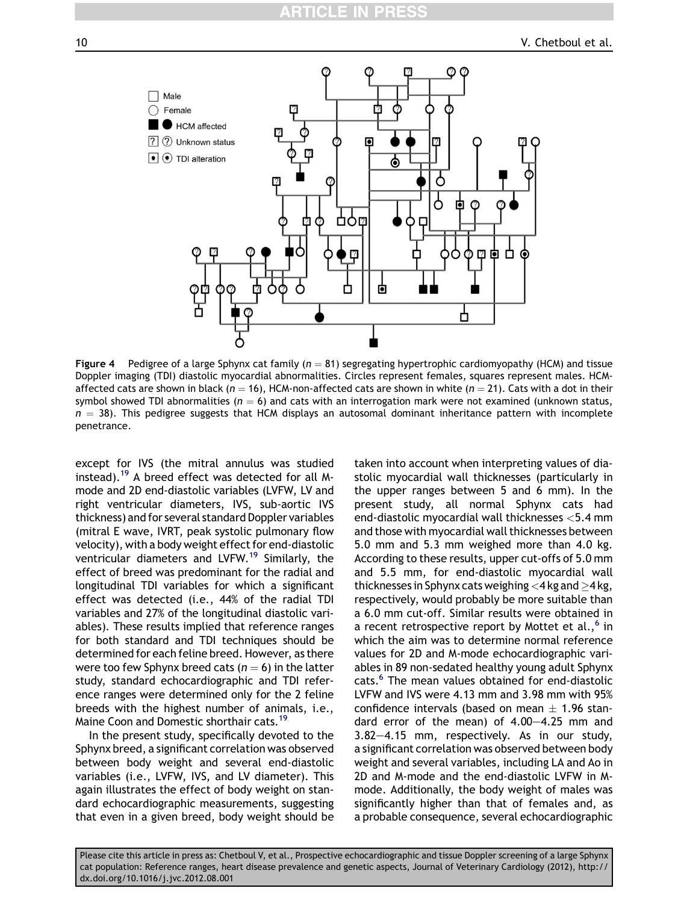# CLE

<span id="page-9-0"></span>10 V. Chetboul et al.



Figure 4 Pedigree of a large Sphynx cat family ( $n = 81$ ) segregating hypertrophic cardiomyopathy (HCM) and tissue Doppler imaging (TDI) diastolic myocardial abnormalities. Circles represent females, squares represent males. HCMaffected cats are shown in black ( $n = 16$ ), HCM-non-affected cats are shown in white ( $n = 21$ ). Cats with a dot in their symbol showed TDI abnormalities ( $n = 6$ ) and cats with an interrogation mark were not examined (unknown status,  $n = 38$ ). This pedigree suggests that HCM displays an autosomal dominant inheritance pattern with incomplete penetrance.

except for IVS (the mitral annulus was studied instead).<sup>[19](#page-11-0)</sup> A breed effect was detected for all Mmode and 2D end-diastolic variables (LVFW, LV and right ventricular diameters, IVS, sub-aortic IVS thickness) and for several standard Doppler variables (mitral E wave, IVRT, peak systolic pulmonary flow velocity), with a body weight effect for end-diastolic ventricular diameters and LVFW.[19](#page-11-0) Similarly, the effect of breed was predominant for the radial and longitudinal TDI variables for which a significant effect was detected (i.e., 44% of the radial TDI variables and 27% of the longitudinal diastolic variables). These results implied that reference ranges for both standard and TDI techniques should be determined for each feline breed. However, as there were too few Sphynx breed cats ( $n = 6$ ) in the latter study, standard echocardiographic and TDI reference ranges were determined only for the 2 feline breeds with the highest number of animals, i.e., Maine Coon and Domestic shorthair cats.<sup>[19](#page-11-0)</sup>

In the present study, specifically devoted to the Sphynx breed, a significant correlation was observed between body weight and several end-diastolic variables (i.e., LVFW, IVS, and LV diameter). This again illustrates the effect of body weight on standard echocardiographic measurements, suggesting that even in a given breed, body weight should be taken into account when interpreting values of diastolic myocardial wall thicknesses (particularly in the upper ranges between 5 and 6 mm). In the present study, all normal Sphynx cats had end-diastolic myocardial wall thicknesses <5.4 mm and those with myocardial wall thicknesses between 5.0 mm and 5.3 mm weighed more than 4.0 kg. According to these results, upper cut-offs of 5.0 mm and 5.5 mm, for end-diastolic myocardial wall thicknesses in Sphynx cats weighing  $<$ 4 kg and  $>$ 4 kg, respectively, would probably be more suitable than a 6.0 mm cut-off. Similar results were obtained in a recent retrospective report by Mottet et al., $6$  in which the aim was to determine normal reference values for 2D and M-mode echocardiographic variables in 89 non-sedated healthy young adult Sphynx cats.<sup>6</sup> The mean values obtained for end-diastolic LVFW and IVS were 4.13 mm and 3.98 mm with 95% confidence intervals (based on mean  $\pm$  1.96 standard error of the mean) of  $4.00-4.25$  mm and  $3.82-4.15$  mm, respectively. As in our study, a significant correlation was observed between body weight and several variables, including LA and Ao in 2D and M-mode and the end-diastolic LVFW in Mmode. Additionally, the body weight of males was significantly higher than that of females and, as a probable consequence, several echocardiographic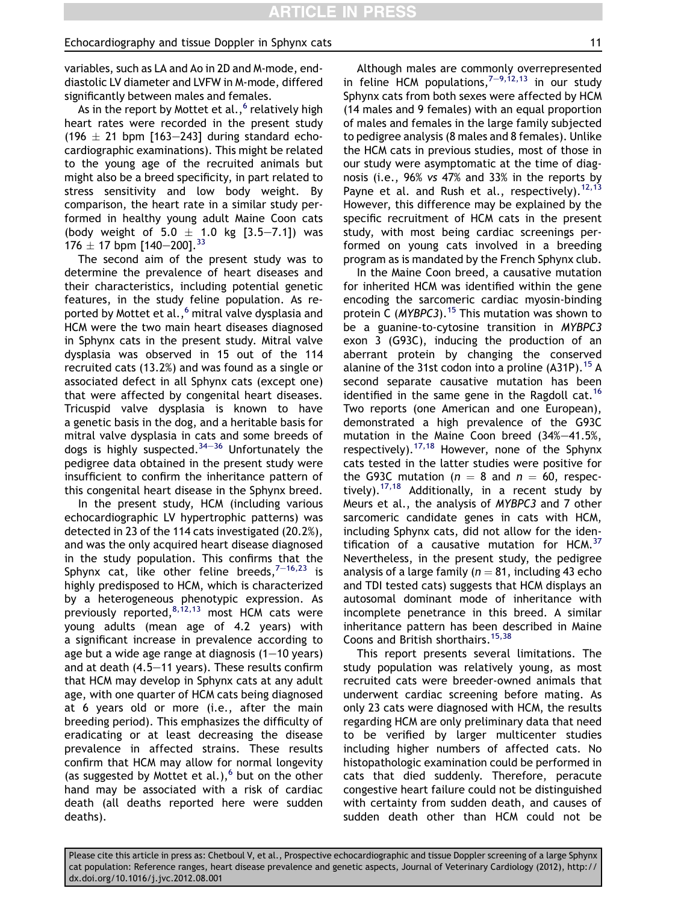variables, such as LA and Ao in 2D and M-mode, enddiastolic LV diameter and LVFW in M-mode, differed significantly between males and females.

As in the report by Mottet et al.,  $6$  relatively high heart rates were recorded in the present study (196  $\pm$  21 bpm [163-243] during standard echocardiographic examinations). This might be related to the young age of the recruited animals but might also be a breed specificity, in part related to stress sensitivity and low body weight. By comparison, the heart rate in a similar study performed in healthy young adult Maine Coon cats (body weight of  $5.0 \pm 1.0$  kg  $[3.5-7.1]$ ) was 176  $\pm$  17 bpm [140-200].<sup>[33](#page-12-0)</sup>

The second aim of the present study was to determine the prevalence of heart diseases and their characteristics, including potential genetic features, in the study feline population. As re-ported by Mottet et al.,<sup>[6](#page-11-0)</sup> mitral valve dysplasia and HCM were the two main heart diseases diagnosed in Sphynx cats in the present study. Mitral valve dysplasia was observed in 15 out of the 114 recruited cats (13.2%) and was found as a single or associated defect in all Sphynx cats (except one) that were affected by congenital heart diseases. Tricuspid valve dysplasia is known to have a genetic basis in the dog, and a heritable basis for mitral valve dysplasia in cats and some breeds of dogs is highly suspected.<sup>[34](#page-12-0)-[36](#page-12-0)</sup> Unfortunately the pedigree data obtained in the present study were insufficient to confirm the inheritance pattern of this congenital heart disease in the Sphynx breed.

In the present study, HCM (including various echocardiographic LV hypertrophic patterns) was detected in 23 of the 114 cats investigated (20.2%), and was the only acquired heart disease diagnosed in the study population. This confirms that the Sphynx cat, like other feline breeds,  $7-16,23$  $7-16,23$  $7-16,23$  is highly predisposed to HCM, which is characterized by a heterogeneous phenotypic expression. As previously reported,  $8,12,13$  most HCM cats were young adults (mean age of 4.2 years) with a significant increase in prevalence according to age but a wide age range at diagnosis  $(1-10 \text{ years})$ and at death  $(4.5-11 \text{ years})$ . These results confirm that HCM may develop in Sphynx cats at any adult age, with one quarter of HCM cats being diagnosed at 6 years old or more (i.e., after the main breeding period). This emphasizes the difficulty of eradicating or at least decreasing the disease prevalence in affected strains. These results confirm that HCM may allow for normal longevity (as suggested by Mottet et al.), $<sup>6</sup>$  $<sup>6</sup>$  $<sup>6</sup>$  but on the other</sup> hand may be associated with a risk of cardiac death (all deaths reported here were sudden deaths).

Although males are commonly overrepresented in feline HCM populations,  $7-9,12,13$  $7-9,12,13$  $7-9,12,13$  in our study Sphynx cats from both sexes were affected by HCM (14 males and 9 females) with an equal proportion of males and females in the large family subjected to pedigree analysis (8 males and 8 females). Unlike the HCM cats in previous studies, most of those in our study were asymptomatic at the time of diagnosis (i.e., 96% vs 47% and 33% in the reports by Payne et al. and Rush et al., respectively).<sup>[12,13](#page-11-0)</sup> However, this difference may be explained by the specific recruitment of HCM cats in the present study, with most being cardiac screenings performed on young cats involved in a breeding program as is mandated by the French Sphynx club.

In the Maine Coon breed, a causative mutation for inherited HCM was identified within the gene encoding the sarcomeric cardiac myosin-binding protein C (MYBPC3).<sup>[15](#page-11-0)</sup> This mutation was shown to be a guanine-to-cytosine transition in MYBPC3 exon 3 (G93C), inducing the production of an aberrant protein by changing the conserved alanine of the 31st codon into a proline  $(A31P)$ . <sup>[15](#page-11-0)</sup> A second separate causative mutation has been identified in the same gene in the Ragdoll cat.<sup>[16](#page-11-0)</sup> Two reports (one American and one European), demonstrated a high prevalence of the G93C mutation in the Maine Coon breed  $(34% - 41.5%$ , respectively).<sup>[17,18](#page-11-0)</sup> However, none of the Sphynx cats tested in the latter studies were positive for the G93C mutation ( $n = 8$  and  $n = 60$ , respectively). $17,18$  Additionally, in a recent study by Meurs et al., the analysis of MYBPC3 and 7 other sarcomeric candidate genes in cats with HCM, including Sphynx cats, did not allow for the identification of a causative mutation for HCM. $37$ Nevertheless, in the present study, the pedigree analysis of a large family ( $n = 81$ , including 43 echo and TDI tested cats) suggests that HCM displays an autosomal dominant mode of inheritance with incomplete penetrance in this breed. A similar inheritance pattern has been described in Maine Coons and British shorthairs.<sup>[15,38](#page-11-0)</sup>

This report presents several limitations. The study population was relatively young, as most recruited cats were breeder-owned animals that underwent cardiac screening before mating. As only 23 cats were diagnosed with HCM, the results regarding HCM are only preliminary data that need to be verified by larger multicenter studies including higher numbers of affected cats. No histopathologic examination could be performed in cats that died suddenly. Therefore, peracute congestive heart failure could not be distinguished with certainty from sudden death, and causes of sudden death other than HCM could not be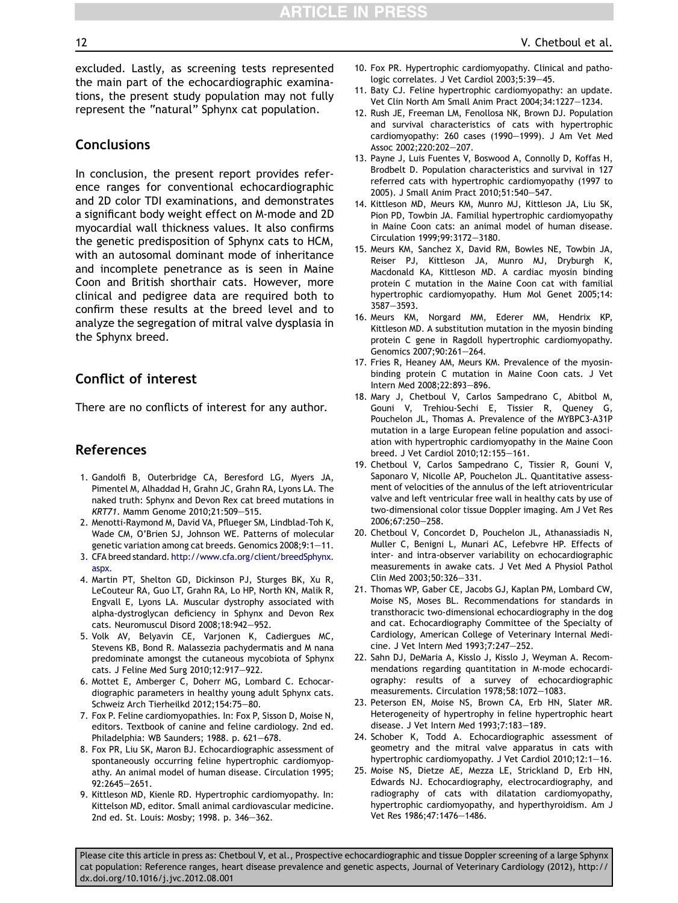<span id="page-11-0"></span>excluded. Lastly, as screening tests represented the main part of the echocardiographic examinations, the present study population may not fully represent the "natural" Sphynx cat population.

## Conclusions

In conclusion, the present report provides reference ranges for conventional echocardiographic and 2D color TDI examinations, and demonstrates a significant body weight effect on M-mode and 2D myocardial wall thickness values. It also confirms the genetic predisposition of Sphynx cats to HCM, with an autosomal dominant mode of inheritance and incomplete penetrance as is seen in Maine Coon and British shorthair cats. However, more clinical and pedigree data are required both to confirm these results at the breed level and to analyze the segregation of mitral valve dysplasia in the Sphynx breed.

# Conflict of interest

There are no conflicts of interest for any author.

# References

- 1. Gandolfi B, Outerbridge CA, Beresford LG, Myers JA, Pimentel M, Alhaddad H, Grahn JC, Grahn RA, Lyons LA. The naked truth: Sphynx and Devon Rex cat breed mutations in KRT71. Mamm Genome 2010;21:509-515.
- 2. Menotti-Raymond M, David VA, Pflueger SM, Lindblad-Toh K, Wade CM, O'Brien SJ, Johnson WE. Patterns of molecular genetic variation among cat breeds. Genomics 2008;9:1-11.
- 3. CFA breed standard. [http://www.cfa.org/client/breedSphynx.](http://www.cfa.org/client/breedSphynx.aspx) [aspx.](http://www.cfa.org/client/breedSphynx.aspx)
- 4. Martin PT, Shelton GD, Dickinson PJ, Sturges BK, Xu R, LeCouteur RA, Guo LT, Grahn RA, Lo HP, North KN, Malik R, Engvall E, Lyons LA. Muscular dystrophy associated with alpha-dystroglycan deficiency in Sphynx and Devon Rex cats. Neuromuscul Disord 2008;18:942-952.
- 5. Volk AV, Belyavin CE, Varjonen K, Cadiergues MC, Stevens KB, Bond R. Malassezia pachydermatis and M nana predominate amongst the cutaneous mycobiota of Sphynx cats. J Feline Med Surg 2010;12:917-922.
- 6. Mottet E, Amberger C, Doherr MG, Lombard C. Echocardiographic parameters in healthy young adult Sphynx cats. Schweiz Arch Tierheilkd 2012;154:75-80.
- 7. Fox P. Feline cardiomyopathies. In: Fox P, Sisson D, Moise N, editors. Textbook of canine and feline cardiology. 2nd ed. Philadelphia: WB Saunders; 1988. p. 621-678.
- 8. Fox PR, Liu SK, Maron BJ. Echocardiographic assessment of spontaneously occurring feline hypertrophic cardiomyopathy. An animal model of human disease. Circulation 1995; 92:2645-2651.
- 9. Kittleson MD, Kienle RD. Hypertrophic cardiomyopathy. In: Kittelson MD, editor. Small animal cardiovascular medicine. 2nd ed. St. Louis: Mosby; 1998. p. 346-362.
- 10. Fox PR. Hypertrophic cardiomyopathy. Clinical and pathologic correlates. J Vet Cardiol 2003;5:39-45.
- 11. Baty CJ. Feline hypertrophic cardiomyopathy: an update. Vet Clin North Am Small Anim Pract 2004;34:1227-1234.
- 12. Rush JE, Freeman LM, Fenollosa NK, Brown DJ. Population and survival characteristics of cats with hypertrophic cardiomyopathy: 260 cases (1990-1999). J Am Vet Med Assoc 2002;220:202-207.
- 13. Payne J, Luis Fuentes V, Boswood A, Connolly D, Koffas H, Brodbelt D. Population characteristics and survival in 127 referred cats with hypertrophic cardiomyopathy (1997 to 2005). J Small Anim Pract 2010;51:540-547.
- 14. Kittleson MD, Meurs KM, Munro MJ, Kittleson JA, Liu SK, Pion PD, Towbin JA. Familial hypertrophic cardiomyopathy in Maine Coon cats: an animal model of human disease. Circulation 1999;99:3172-3180.
- 15. Meurs KM, Sanchez X, David RM, Bowles NE, Towbin JA, Reiser PJ, Kittleson JA, Munro MJ, Dryburgh K, Macdonald KA, Kittleson MD. A cardiac myosin binding protein C mutation in the Maine Coon cat with familial hypertrophic cardiomyopathy. Hum Mol Genet 2005;14: 3587-3593.
- 16. Meurs KM, Norgard MM, Ederer MM, Hendrix KP, Kittleson MD. A substitution mutation in the myosin binding protein C gene in Ragdoll hypertrophic cardiomyopathy. Genomics 2007;90:261-264.
- 17. Fries R, Heaney AM, Meurs KM. Prevalence of the myosinbinding protein C mutation in Maine Coon cats. J Vet Intern Med 2008;22:893-896.
- 18. Mary J, Chetboul V, Carlos Sampedrano C, Abitbol M, Gouni V, Trehiou-Sechi E, Tissier R, Queney G, Pouchelon JL, Thomas A. Prevalence of the MYBPC3-A31P mutation in a large European feline population and association with hypertrophic cardiomyopathy in the Maine Coon breed. J Vet Cardiol 2010;12:155-161.
- 19. Chetboul V, Carlos Sampedrano C, Tissier R, Gouni V, Saponaro V, Nicolle AP, Pouchelon JL. Quantitative assessment of velocities of the annulus of the left atrioventricular valve and left ventricular free wall in healthy cats by use of two-dimensional color tissue Doppler imaging. Am J Vet Res 2006:67:250-258.
- 20. Chetboul V, Concordet D, Pouchelon JL, Athanassiadis N, Muller C, Benigni L, Munari AC, Lefebvre HP. Effects of inter- and intra-observer variability on echocardiographic measurements in awake cats. J Vet Med A Physiol Pathol Clin Med 2003;50:326-331.
- 21. Thomas WP, Gaber CE, Jacobs GJ, Kaplan PM, Lombard CW, Moise NS, Moses BL. Recommendations for standards in transthoracic two-dimensional echocardiography in the dog and cat. Echocardiography Committee of the Specialty of Cardiology, American College of Veterinary Internal Medicine. J Vet Intern Med 1993;7:247-252.
- 22. Sahn DJ, DeMaria A, Kisslo J, Kisslo J, Weyman A. Recommendations regarding quantitation in M-mode echocardiography: results of a survey of echocardiographic measurements. Circulation 1978;58:1072-1083.
- 23. Peterson EN, Moise NS, Brown CA, Erb HN, Slater MR. Heterogeneity of hypertrophy in feline hypertrophic heart disease. J Vet Intern Med 1993;7:183-189.
- 24. Schober K, Todd A. Echocardiographic assessment of geometry and the mitral valve apparatus in cats with hypertrophic cardiomyopathy. J Vet Cardiol 2010;12:1-16.
- 25. Moise NS, Dietze AE, Mezza LE, Strickland D, Erb HN, Edwards NJ. Echocardiography, electrocardiography, and radiography of cats with dilatation cardiomyopathy, hypertrophic cardiomyopathy, and hyperthyroidism. Am J Vet Res 1986;47:1476-1486.